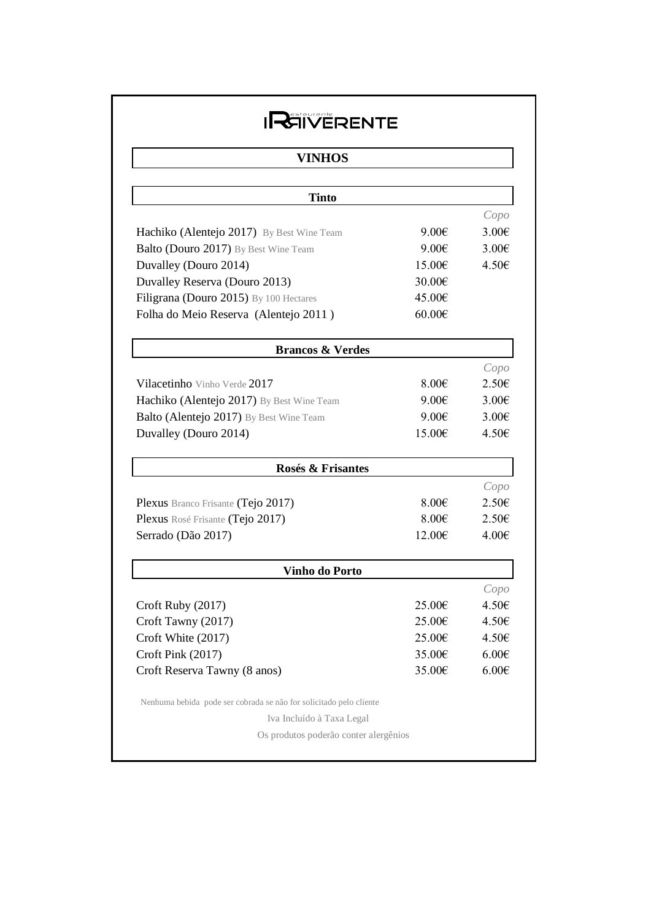## **IREIVERENTE**

## **VINHOS**

| <b>Tinto</b>                                                       |                 |                 |
|--------------------------------------------------------------------|-----------------|-----------------|
|                                                                    |                 | Copo            |
| Hachiko (Alentejo 2017) By Best Wine Team                          | $9.00 \epsilon$ | 3.00E           |
| Balto (Douro 2017) By Best Wine Team                               | $9.00 \in$      | 3.00E           |
| Duvalley (Douro 2014)                                              | 15.00€          | 4.50E           |
| Duvalley Reserva (Douro 2013)                                      | 30.00€          |                 |
| Filigrana (Douro 2015) By 100 Hectares                             | 45.00€          |                 |
| Folha do Meio Reserva (Alentejo 2011)                              | 60.00€          |                 |
| <b>Brancos &amp; Verdes</b>                                        |                 |                 |
|                                                                    |                 | Copo            |
| Vilacetinho Vinho Verde 2017                                       | 8.006           | 2.50E           |
| Hachiko (Alentejo 2017) By Best Wine Team                          | 9.00E           | $3.00 \epsilon$ |
| Balto (Alentejo 2017) By Best Wine Team                            | 9.00E           | $3.00 \epsilon$ |
| Duvalley (Douro 2014)                                              | 15.00€          | 4.50€           |
| Rosés & Frisantes                                                  |                 |                 |
|                                                                    |                 | Copo            |
| Plexus Branco Frisante (Tejo 2017)                                 | 8.00E           | 2.50E           |
| Plexus Rosé Frisante (Tejo 2017)                                   | 8.00E           | 2.50€           |
| Serrado (Dão 2017)                                                 | 12.00€          | 4.00€           |
| Vinho do Porto                                                     |                 |                 |
|                                                                    |                 | Copo            |
| Croft Ruby (2017)                                                  | 25.00€          | 4.50E           |
| Croft Tawny (2017)                                                 | 25.00€          | 4.50E           |
| Croft White (2017)                                                 | 25.00€          | 4.50€           |
| Croft Pink (2017)                                                  | 35.00€          | 6.00E           |
| Croft Reserva Tawny (8 anos)                                       | 35.00€          | 6.00E           |
| Nenhuma bebida pode ser cobrada se não for solicitado pelo cliente |                 |                 |
| Iva Incluído à Taxa Legal                                          |                 |                 |
| Os produtos poderão conter alergênios                              |                 |                 |